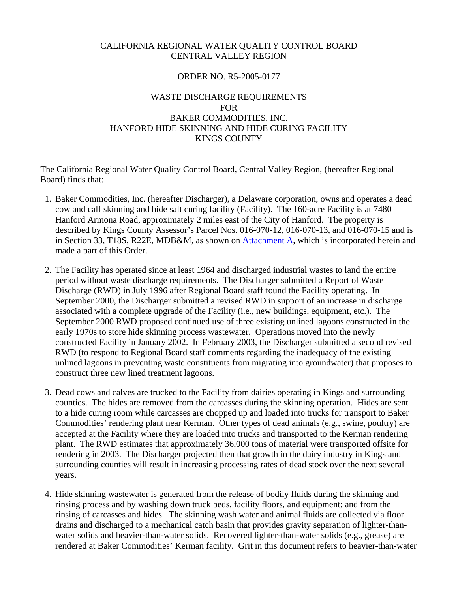# CALIFORNIA REGIONAL WATER QUALITY CONTROL BOARD CENTRAL VALLEY REGION

# ORDER NO. R5-2005-0177

# WASTE DISCHARGE REQUIREMENTS FOR BAKER COMMODITIES, INC. HANFORD HIDE SKINNING AND HIDE CURING FACILITY KINGS COUNTY

The California Regional Water Quality Control Board, Central Valley Region, (hereafter Regional Board) finds that:

- 1. Baker Commodities, Inc. (hereafter Discharger), a Delaware corporation, owns and operates a dead cow and calf skinning and hide salt curing facility (Facility). The 160-acre Facility is at 7480 Hanford Armona Road, approximately 2 miles east of the City of Hanford. The property is described by Kings County Assessor's Parcel Nos. 016-070-12, 016-070-13, and 016-070-15 and is in Section 33, T18S, R22E, MDB&M, as shown on Attachment A, which is incorporated herein and made a part of this Order.
- 2. The Facility has operated since at least 1964 and discharged industrial wastes to land the entire period without waste discharge requirements. The Discharger submitted a Report of Waste Discharge (RWD) in July 1996 after Regional Board staff found the Facility operating. In September 2000, the Discharger submitted a revised RWD in support of an increase in discharge associated with a complete upgrade of the Facility (i.e., new buildings, equipment, etc.). The September 2000 RWD proposed continued use of three existing unlined lagoons constructed in the early 1970s to store hide skinning process wastewater. Operations moved into the newly constructed Facility in January 2002. In February 2003, the Discharger submitted a second revised RWD (to respond to Regional Board staff comments regarding the inadequacy of the existing unlined lagoons in preventing waste constituents from migrating into groundwater) that proposes to construct three new lined treatment lagoons.
- 3. Dead cows and calves are trucked to the Facility from dairies operating in Kings and surrounding counties. The hides are removed from the carcasses during the skinning operation. Hides are sent to a hide curing room while carcasses are chopped up and loaded into trucks for transport to Baker Commodities' rendering plant near Kerman. Other types of dead animals (e.g., swine, poultry) are accepted at the Facility where they are loaded into trucks and transported to the Kerman rendering plant. The RWD estimates that approximately 36,000 tons of material were transported offsite for rendering in 2003. The Discharger projected then that growth in the dairy industry in Kings and surrounding counties will result in increasing processing rates of dead stock over the next several years.
- 4. Hide skinning wastewater is generated from the release of bodily fluids during the skinning and rinsing process and by washing down truck beds, facility floors, and equipment; and from the rinsing of carcasses and hides. The skinning wash water and animal fluids are collected via floor drains and discharged to a mechanical catch basin that provides gravity separation of lighter-thanwater solids and heavier-than-water solids. Recovered lighter-than-water solids (e.g., grease) are rendered at Baker Commodities' Kerman facility. Grit in this document refers to heavier-than-water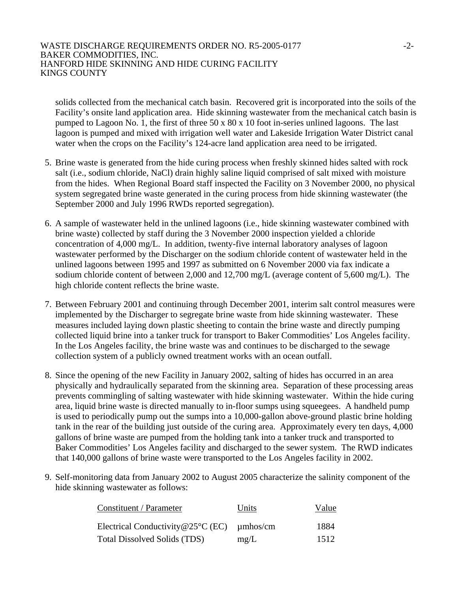### WASTE DISCHARGE REQUIREMENTS ORDER NO. R5-2005-0177  $-2$ -2005-0177 BAKER COMMODITIES, INC. HANFORD HIDE SKINNING AND HIDE CURING FACILITY KINGS COUNTY

solids collected from the mechanical catch basin. Recovered grit is incorporated into the soils of the Facility's onsite land application area. Hide skinning wastewater from the mechanical catch basin is pumped to Lagoon No. 1, the first of three 50 x 80 x 10 foot in-series unlined lagoons. The last lagoon is pumped and mixed with irrigation well water and Lakeside Irrigation Water District canal water when the crops on the Facility's 124-acre land application area need to be irrigated.

- 5. Brine waste is generated from the hide curing process when freshly skinned hides salted with rock salt (i.e., sodium chloride, NaCl) drain highly saline liquid comprised of salt mixed with moisture from the hides. When Regional Board staff inspected the Facility on 3 November 2000, no physical system segregated brine waste generated in the curing process from hide skinning wastewater (the September 2000 and July 1996 RWDs reported segregation).
- 6. A sample of wastewater held in the unlined lagoons (i.e., hide skinning wastewater combined with brine waste) collected by staff during the 3 November 2000 inspection yielded a chloride concentration of 4,000 mg/L. In addition, twenty-five internal laboratory analyses of lagoon wastewater performed by the Discharger on the sodium chloride content of wastewater held in the unlined lagoons between 1995 and 1997 as submitted on 6 November 2000 via fax indicate a sodium chloride content of between 2,000 and 12,700 mg/L (average content of 5,600 mg/L). The high chloride content reflects the brine waste.
- 7. Between February 2001 and continuing through December 2001, interim salt control measures were implemented by the Discharger to segregate brine waste from hide skinning wastewater. These measures included laying down plastic sheeting to contain the brine waste and directly pumping collected liquid brine into a tanker truck for transport to Baker Commodities' Los Angeles facility. In the Los Angeles facility, the brine waste was and continues to be discharged to the sewage collection system of a publicly owned treatment works with an ocean outfall.
- 8. Since the opening of the new Facility in January 2002, salting of hides has occurred in an area physically and hydraulically separated from the skinning area. Separation of these processing areas prevents commingling of salting wastewater with hide skinning wastewater. Within the hide curing area, liquid brine waste is directed manually to in-floor sumps using squeegees. A handheld pump is used to periodically pump out the sumps into a 10,000-gallon above-ground plastic brine holding tank in the rear of the building just outside of the curing area. Approximately every ten days, 4,000 gallons of brine waste are pumped from the holding tank into a tanker truck and transported to Baker Commodities' Los Angeles facility and discharged to the sewer system. The RWD indicates that 140,000 gallons of brine waste were transported to the Los Angeles facility in 2002.
- 9. Self-monitoring data from January 2002 to August 2005 characterize the salinity component of the hide skinning wastewater as follows:

| Constituent / Parameter                               | Units | Value |
|-------------------------------------------------------|-------|-------|
| Electrical Conductivity @25 $\degree$ C (EC) umhos/cm |       | 1884  |
| <b>Total Dissolved Solids (TDS)</b>                   | mg/L  | 1512  |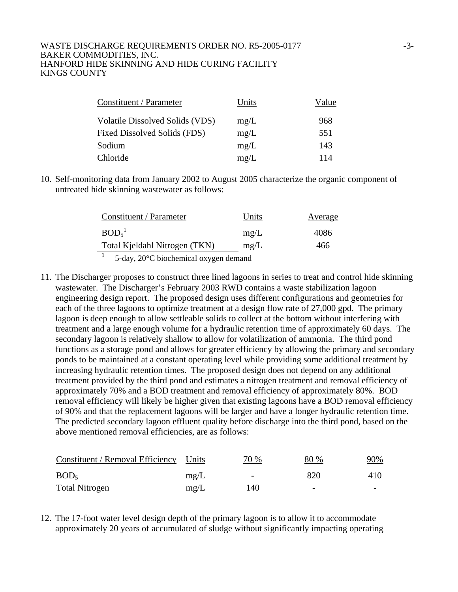### WASTE DISCHARGE REQUIREMENTS ORDER NO. R5-2005-0177 -3-3-BAKER COMMODITIES, INC. HANFORD HIDE SKINNING AND HIDE CURING FACILITY KINGS COUNTY

| Constituent / Parameter                | Units | Value |
|----------------------------------------|-------|-------|
| <b>Volatile Dissolved Solids (VDS)</b> | mg/L  | 968   |
| Fixed Dissolved Solids (FDS)           | mg/L  | 551   |
| Sodium                                 | mg/L  | 143   |
| Chloride                               | mg/L  | 114   |

10. Self-monitoring data from January 2002 to August 2005 characterize the organic component of untreated hide skinning wastewater as follows:

| Constituent / Parameter                                                                                                                                                                                                                                                                                                                                                                                                                                                                    | Units | Average |
|--------------------------------------------------------------------------------------------------------------------------------------------------------------------------------------------------------------------------------------------------------------------------------------------------------------------------------------------------------------------------------------------------------------------------------------------------------------------------------------------|-------|---------|
| BOD <sub>5</sub> <sup>1</sup>                                                                                                                                                                                                                                                                                                                                                                                                                                                              | mg/L  | 4086    |
| Total Kjeldahl Nitrogen (TKN)                                                                                                                                                                                                                                                                                                                                                                                                                                                              | mg/L  | 466     |
| $\blacksquare$ $\blacksquare$ $\blacksquare$ $\blacksquare$ $\blacksquare$ $\blacksquare$ $\blacksquare$ $\blacksquare$ $\blacksquare$ $\blacksquare$ $\blacksquare$ $\blacksquare$ $\blacksquare$ $\blacksquare$ $\blacksquare$ $\blacksquare$ $\blacksquare$ $\blacksquare$ $\blacksquare$ $\blacksquare$ $\blacksquare$ $\blacksquare$ $\blacksquare$ $\blacksquare$ $\blacksquare$ $\blacksquare$ $\blacksquare$ $\blacksquare$ $\blacksquare$ $\blacksquare$ $\blacksquare$ $\blacks$ |       |         |

<sup>1</sup> 5-day, 20°C biochemical oxygen demand

11. The Discharger proposes to construct three lined lagoons in series to treat and control hide skinning wastewater. The Discharger's February 2003 RWD contains a waste stabilization lagoon engineering design report. The proposed design uses different configurations and geometries for each of the three lagoons to optimize treatment at a design flow rate of 27,000 gpd. The primary lagoon is deep enough to allow settleable solids to collect at the bottom without interfering with treatment and a large enough volume for a hydraulic retention time of approximately 60 days. The secondary lagoon is relatively shallow to allow for volatilization of ammonia. The third pond functions as a storage pond and allows for greater efficiency by allowing the primary and secondary ponds to be maintained at a constant operating level while providing some additional treatment by increasing hydraulic retention times. The proposed design does not depend on any additional treatment provided by the third pond and estimates a nitrogen treatment and removal efficiency of approximately 70% and a BOD treatment and removal efficiency of approximately 80%. BOD removal efficiency will likely be higher given that existing lagoons have a BOD removal efficiency of 90% and that the replacement lagoons will be larger and have a longer hydraulic retention time. The predicted secondary lagoon effluent quality before discharge into the third pond, based on the above mentioned removal efficiencies, are as follows:

| Constituent / Removal Efficiency Units |      | 70 % | 80 %                     | <u>90% </u>              |
|----------------------------------------|------|------|--------------------------|--------------------------|
| BOD <sub>5</sub>                       | mg/L |      | 820                      | 410                      |
| <b>Total Nitrogen</b>                  | mg/L | 140  | $\overline{\phantom{0}}$ | $\overline{\phantom{0}}$ |

12. The 17-foot water level design depth of the primary lagoon is to allow it to accommodate approximately 20 years of accumulated of sludge without significantly impacting operating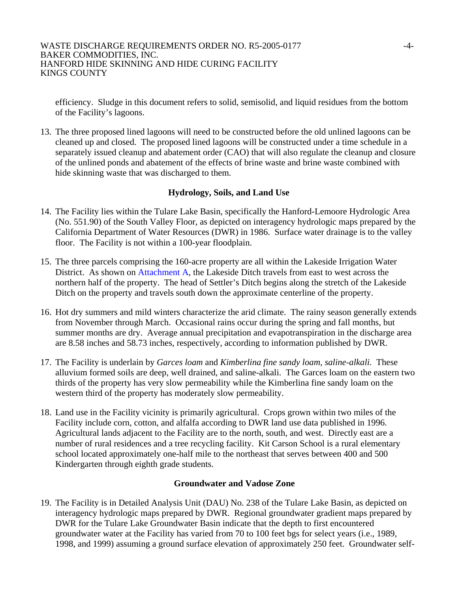efficiency. Sludge in this document refers to solid, semisolid, and liquid residues from the bottom of the Facility's lagoons.

13. The three proposed lined lagoons will need to be constructed before the old unlined lagoons can be cleaned up and closed. The proposed lined lagoons will be constructed under a time schedule in a separately issued cleanup and abatement order (CAO) that will also regulate the cleanup and closure of the unlined ponds and abatement of the effects of brine waste and brine waste combined with hide skinning waste that was discharged to them.

# **Hydrology, Soils, and Land Use**

- 14. The Facility lies within the Tulare Lake Basin, specifically the Hanford-Lemoore Hydrologic Area (No. 551.90) of the South Valley Floor, as depicted on interagency hydrologic maps prepared by the California Department of Water Resources (DWR) in 1986. Surface water drainage is to the valley floor. The Facility is not within a 100-year floodplain.
- 15. The three parcels comprising the 160-acre property are all within the Lakeside Irrigation Water District. As shown on Attachment A, the Lakeside Ditch travels from east to west across the northern half of the property. The head of Settler's Ditch begins along the stretch of the Lakeside Ditch on the property and travels south down the approximate centerline of the property.
- 16. Hot dry summers and mild winters characterize the arid climate. The rainy season generally extends from November through March. Occasional rains occur during the spring and fall months, but summer months are dry. Average annual precipitation and evapotranspiration in the discharge area are 8.58 inches and 58.73 inches, respectively, according to information published by DWR.
- 17. The Facility is underlain by *Garces loam* and *Kimberlina fine sandy loam, saline-alkali.* These alluvium formed soils are deep, well drained, and saline-alkali. The Garces loam on the eastern two thirds of the property has very slow permeability while the Kimberlina fine sandy loam on the western third of the property has moderately slow permeability.
- 18. Land use in the Facility vicinity is primarily agricultural. Crops grown within two miles of the Facility include corn, cotton, and alfalfa according to DWR land use data published in 1996. Agricultural lands adjacent to the Facility are to the north, south, and west. Directly east are a number of rural residences and a tree recycling facility. Kit Carson School is a rural elementary school located approximately one-half mile to the northeast that serves between 400 and 500 Kindergarten through eighth grade students.

### **Groundwater and Vadose Zone**

19. The Facility is in Detailed Analysis Unit (DAU) No. 238 of the Tulare Lake Basin, as depicted on interagency hydrologic maps prepared by DWR. Regional groundwater gradient maps prepared by DWR for the Tulare Lake Groundwater Basin indicate that the depth to first encountered groundwater water at the Facility has varied from 70 to 100 feet bgs for select years (i.e., 1989, 1998, and 1999) assuming a ground surface elevation of approximately 250 feet. Groundwater self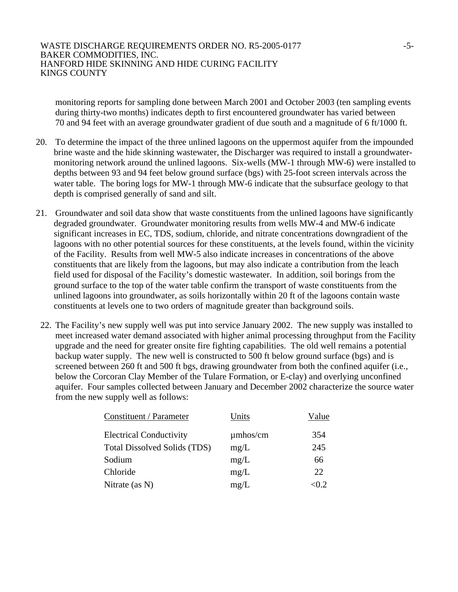monitoring reports for sampling done between March 2001 and October 2003 (ten sampling events during thirty-two months) indicates depth to first encountered groundwater has varied between 70 and 94 feet with an average groundwater gradient of due south and a magnitude of 6 ft/1000 ft.

- 20. To determine the impact of the three unlined lagoons on the uppermost aquifer from the impounded brine waste and the hide skinning wastewater, the Discharger was required to install a groundwatermonitoring network around the unlined lagoons. Six-wells (MW-1 through MW-6) were installed to depths between 93 and 94 feet below ground surface (bgs) with 25-foot screen intervals across the water table. The boring logs for MW-1 through MW-6 indicate that the subsurface geology to that depth is comprised generally of sand and silt.
- 21. Groundwater and soil data show that waste constituents from the unlined lagoons have significantly degraded groundwater. Groundwater monitoring results from wells MW-4 and MW-6 indicate significant increases in EC, TDS, sodium, chloride, and nitrate concentrations downgradient of the lagoons with no other potential sources for these constituents, at the levels found, within the vicinity of the Facility. Results from well MW-5 also indicate increases in concentrations of the above constituents that are likely from the lagoons, but may also indicate a contribution from the leach field used for disposal of the Facility's domestic wastewater. In addition, soil borings from the ground surface to the top of the water table confirm the transport of waste constituents from the unlined lagoons into groundwater, as soils horizontally within 20 ft of the lagoons contain waste constituents at levels one to two orders of magnitude greater than background soils.
- 22. The Facility's new supply well was put into service January 2002. The new supply was installed to meet increased water demand associated with higher animal processing throughput from the Facility upgrade and the need for greater onsite fire fighting capabilities. The old well remains a potential backup water supply. The new well is constructed to 500 ft below ground surface (bgs) and is screened between 260 ft and 500 ft bgs, drawing groundwater from both the confined aquifer (i.e., below the Corcoran Clay Member of the Tulare Formation, or E-clay) and overlying unconfined aquifer. Four samples collected between January and December 2002 characterize the source water from the new supply well as follows:

| Constituent / Parameter             | Units         | Value |
|-------------------------------------|---------------|-------|
| <b>Electrical Conductivity</b>      | $\mu$ mhos/cm | 354   |
| <b>Total Dissolved Solids (TDS)</b> | mg/L          | 245   |
| Sodium                              | mg/L          | 66    |
| Chloride                            | mg/L          | 22.   |
| Nitrate $(as N)$                    | mg/L          | < 0.2 |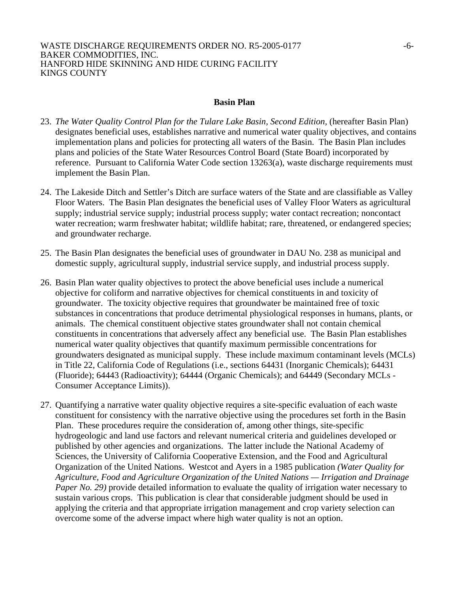### **Basin Plan**

- 23. *The Water Quality Control Plan for the Tulare Lake Basin, Second Edition,* (hereafter Basin Plan) designates beneficial uses, establishes narrative and numerical water quality objectives, and contains implementation plans and policies for protecting all waters of the Basin. The Basin Plan includes plans and policies of the State Water Resources Control Board (State Board) incorporated by reference. Pursuant to California Water Code section 13263(a), waste discharge requirements must implement the Basin Plan.
- 24. The Lakeside Ditch and Settler's Ditch are surface waters of the State and are classifiable as Valley Floor Waters. The Basin Plan designates the beneficial uses of Valley Floor Waters as agricultural supply; industrial service supply; industrial process supply; water contact recreation; noncontact water recreation; warm freshwater habitat; wildlife habitat; rare, threatened, or endangered species; and groundwater recharge.
- 25. The Basin Plan designates the beneficial uses of groundwater in DAU No. 238 as municipal and domestic supply, agricultural supply, industrial service supply, and industrial process supply.
- 26. Basin Plan water quality objectives to protect the above beneficial uses include a numerical objective for coliform and narrative objectives for chemical constituents in and toxicity of groundwater. The toxicity objective requires that groundwater be maintained free of toxic substances in concentrations that produce detrimental physiological responses in humans, plants, or animals. The chemical constituent objective states groundwater shall not contain chemical constituents in concentrations that adversely affect any beneficial use. The Basin Plan establishes numerical water quality objectives that quantify maximum permissible concentrations for groundwaters designated as municipal supply. These include maximum contaminant levels (MCLs) in Title 22, California Code of Regulations (i.e., sections 64431 (Inorganic Chemicals); 64431 (Fluoride); 64443 (Radioactivity); 64444 (Organic Chemicals); and 64449 (Secondary MCLs - Consumer Acceptance Limits)).
- 27. Quantifying a narrative water quality objective requires a site-specific evaluation of each waste constituent for consistency with the narrative objective using the procedures set forth in the Basin Plan. These procedures require the consideration of, among other things, site-specific hydrogeologic and land use factors and relevant numerical criteria and guidelines developed or published by other agencies and organizations. The latter include the National Academy of Sciences, the University of California Cooperative Extension, and the Food and Agricultural Organization of the United Nations. Westcot and Ayers in a 1985 publication *(Water Quality for Agriculture, Food and Agriculture Organization of the United Nations — Irrigation and Drainage Paper No. 29*) provide detailed information to evaluate the quality of irrigation water necessary to sustain various crops. This publication is clear that considerable judgment should be used in applying the criteria and that appropriate irrigation management and crop variety selection can overcome some of the adverse impact where high water quality is not an option.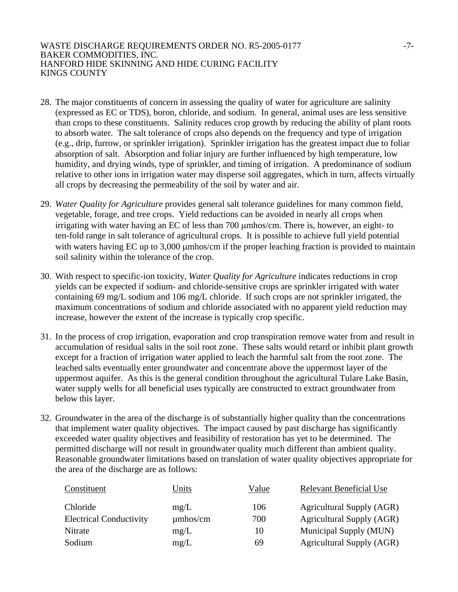### WASTE DISCHARGE REQUIREMENTS ORDER NO. R5-2005-0177 -7-BAKER COMMODITIES, INC. HANFORD HIDE SKINNING AND HIDE CURING FACILITY KINGS COUNTY

- 28. The major constituents of concern in assessing the quality of water for agriculture are salinity (expressed as EC or TDS), boron, chloride, and sodium. In general, animal uses are less sensitive than crops to these constituents. Salinity reduces crop growth by reducing the ability of plant roots to absorb water. The salt tolerance of crops also depends on the frequency and type of irrigation (e.g., drip, furrow, or sprinkler irrigation). Sprinkler irrigation has the greatest impact due to foliar absorption of salt. Absorption and foliar injury are further influenced by high temperature, low humidity, and drying winds, type of sprinkler, and timing of irrigation. A predominance of sodium relative to other ions in irrigation water may disperse soil aggregates, which in turn, affects virtually all crops by decreasing the permeability of the soil by water and air.
- 29. *Water Quality for Agriculture* provides general salt tolerance guidelines for many common field, vegetable, forage, and tree crops. Yield reductions can be avoided in nearly all crops when irrigating with water having an EC of less than 700 μmhos/cm. There is, however, an eight- to ten-fold range in salt tolerance of agricultural crops. It is possible to achieve full yield potential with waters having EC up to 3,000 μmhos/cm if the proper leaching fraction is provided to maintain soil salinity within the tolerance of the crop.
- 30. With respect to specific-ion toxicity, *Water Quality for Agriculture* indicates reductions in crop yields can be expected if sodium- and chloride-sensitive crops are sprinkler irrigated with water containing 69 mg/L sodium and 106 mg/L chloride. If such crops are not sprinkler irrigated, the maximum concentrations of sodium and chloride associated with no apparent yield reduction may increase, however the extent of the increase is typically crop specific.
- 31. In the process of crop irrigation, evaporation and crop transpiration remove water from and result in accumulation of residual salts in the soil root zone. These salts would retard or inhibit plant growth except for a fraction of irrigation water applied to leach the harmful salt from the root zone. The leached salts eventually enter groundwater and concentrate above the uppermost layer of the uppermost aquifer. As this is the general condition throughout the agricultural Tulare Lake Basin, water supply wells for all beneficial uses typically are constructed to extract groundwater from below this layer.
- 32. Groundwater in the area of the discharge is of substantially higher quality than the concentrations that implement water quality objectives. The impact caused by past discharge has significantly exceeded water quality objectives and feasibility of restoration has yet to be determined. The permitted discharge will not result in groundwater quality much different than ambient quality. Reasonable groundwater limitations based on translation of water quality objectives appropriate for the area of the discharge are as follows:

| Constituent                    | Units         | Value | <b>Relevant Beneficial Use</b>   |
|--------------------------------|---------------|-------|----------------------------------|
| Chloride                       | mg/L          | 106   | <b>Agricultural Supply (AGR)</b> |
| <b>Electrical Conductivity</b> | $\mu$ mhos/cm | 700   | <b>Agricultural Supply (AGR)</b> |
| Nitrate                        | mg/L          | 10    | Municipal Supply (MUN)           |
| Sodium                         | mg/L          | 69    | <b>Agricultural Supply (AGR)</b> |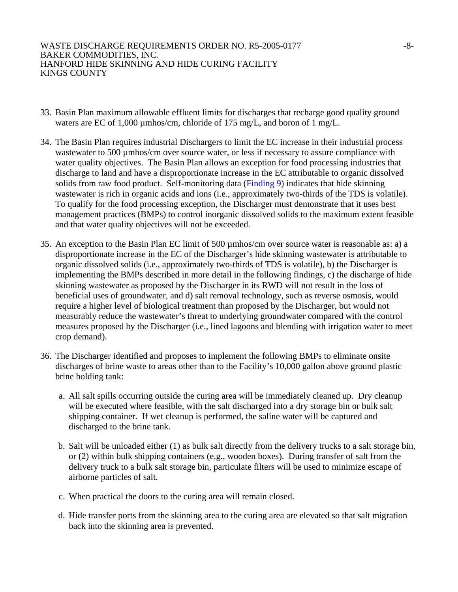- 33. Basin Plan maximum allowable effluent limits for discharges that recharge good quality ground waters are EC of 1,000 µmhos/cm, chloride of 175 mg/L, and boron of 1 mg/L.
- 34. The Basin Plan requires industrial Dischargers to limit the EC increase in their industrial process wastewater to 500 µmhos/cm over source water, or less if necessary to assure compliance with water quality objectives. The Basin Plan allows an exception for food processing industries that discharge to land and have a disproportionate increase in the EC attributable to organic dissolved solids from raw food product. Self-monitoring data (Finding 9) indicates that hide skinning wastewater is rich in organic acids and ions (i.e., approximately two-thirds of the TDS is volatile). To qualify for the food processing exception, the Discharger must demonstrate that it uses best management practices (BMPs) to control inorganic dissolved solids to the maximum extent feasible and that water quality objectives will not be exceeded.
- 35. An exception to the Basin Plan EC limit of 500 µmhos/cm over source water is reasonable as: a) a disproportionate increase in the EC of the Discharger's hide skinning wastewater is attributable to organic dissolved solids (i.e., approximately two-thirds of TDS is volatile), b) the Discharger is implementing the BMPs described in more detail in the following findings, c) the discharge of hide skinning wastewater as proposed by the Discharger in its RWD will not result in the loss of beneficial uses of groundwater, and d) salt removal technology, such as reverse osmosis, would require a higher level of biological treatment than proposed by the Discharger, but would not measurably reduce the wastewater's threat to underlying groundwater compared with the control measures proposed by the Discharger (i.e., lined lagoons and blending with irrigation water to meet crop demand).
- 36. The Discharger identified and proposes to implement the following BMPs to eliminate onsite discharges of brine waste to areas other than to the Facility's 10,000 gallon above ground plastic brine holding tank:
	- a. All salt spills occurring outside the curing area will be immediately cleaned up. Dry cleanup will be executed where feasible, with the salt discharged into a dry storage bin or bulk salt shipping container. If wet cleanup is performed, the saline water will be captured and discharged to the brine tank.
	- b. Salt will be unloaded either (1) as bulk salt directly from the delivery trucks to a salt storage bin, or (2) within bulk shipping containers (e.g., wooden boxes). During transfer of salt from the delivery truck to a bulk salt storage bin, particulate filters will be used to minimize escape of airborne particles of salt.
	- c. When practical the doors to the curing area will remain closed.
	- d. Hide transfer ports from the skinning area to the curing area are elevated so that salt migration back into the skinning area is prevented.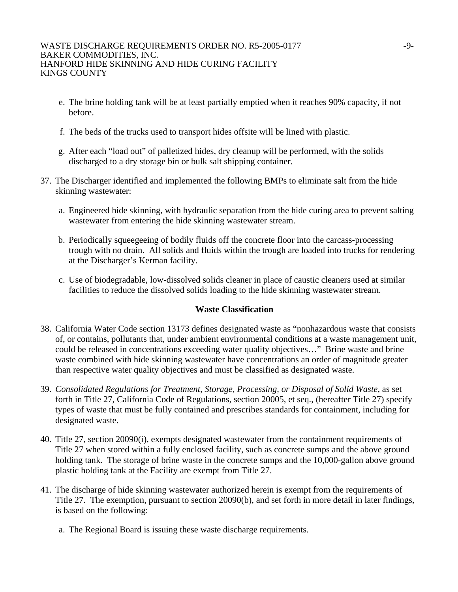- e. The brine holding tank will be at least partially emptied when it reaches 90% capacity, if not before.
- f. The beds of the trucks used to transport hides offsite will be lined with plastic.
- g. After each "load out" of palletized hides, dry cleanup will be performed, with the solids discharged to a dry storage bin or bulk salt shipping container.
- 37. The Discharger identified and implemented the following BMPs to eliminate salt from the hide skinning wastewater:
	- a. Engineered hide skinning, with hydraulic separation from the hide curing area to prevent salting wastewater from entering the hide skinning wastewater stream.
	- b. Periodically squeegeeing of bodily fluids off the concrete floor into the carcass-processing trough with no drain. All solids and fluids within the trough are loaded into trucks for rendering at the Discharger's Kerman facility.
	- c. Use of biodegradable, low-dissolved solids cleaner in place of caustic cleaners used at similar facilities to reduce the dissolved solids loading to the hide skinning wastewater stream.

# **Waste Classification**

- 38. California Water Code section 13173 defines designated waste as "nonhazardous waste that consists of, or contains, pollutants that, under ambient environmental conditions at a waste management unit, could be released in concentrations exceeding water quality objectives…" Brine waste and brine waste combined with hide skinning wastewater have concentrations an order of magnitude greater than respective water quality objectives and must be classified as designated waste.
- 39. *Consolidated Regulations for Treatment, Storage, Processing, or Disposal of Solid Waste*, as set forth in Title 27, California Code of Regulations, section 20005, et seq., (hereafter Title 27) specify types of waste that must be fully contained and prescribes standards for containment, including for designated waste.
- 40. Title 27, section 20090(i), exempts designated wastewater from the containment requirements of Title 27 when stored within a fully enclosed facility, such as concrete sumps and the above ground holding tank. The storage of brine waste in the concrete sumps and the 10,000-gallon above ground plastic holding tank at the Facility are exempt from Title 27.
- 41. The discharge of hide skinning wastewater authorized herein is exempt from the requirements of Title 27. The exemption, pursuant to section 20090(b), and set forth in more detail in later findings, is based on the following:
	- a. The Regional Board is issuing these waste discharge requirements.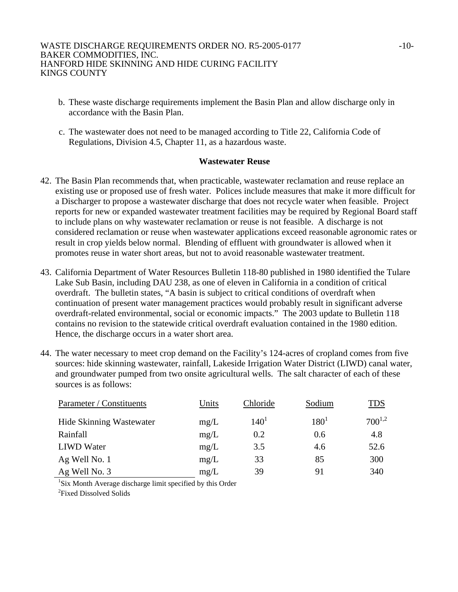- b. These waste discharge requirements implement the Basin Plan and allow discharge only in accordance with the Basin Plan.
- c. The wastewater does not need to be managed according to Title 22, California Code of Regulations, Division 4.5, Chapter 11, as a hazardous waste.

### **Wastewater Reuse**

- 42. The Basin Plan recommends that, when practicable, wastewater reclamation and reuse replace an existing use or proposed use of fresh water. Polices include measures that make it more difficult for a Discharger to propose a wastewater discharge that does not recycle water when feasible. Project reports for new or expanded wastewater treatment facilities may be required by Regional Board staff to include plans on why wastewater reclamation or reuse is not feasible. A discharge is not considered reclamation or reuse when wastewater applications exceed reasonable agronomic rates or result in crop yields below normal. Blending of effluent with groundwater is allowed when it promotes reuse in water short areas, but not to avoid reasonable wastewater treatment.
- 43. California Department of Water Resources Bulletin 118-80 published in 1980 identified the Tulare Lake Sub Basin, including DAU 238, as one of eleven in California in a condition of critical overdraft. The bulletin states, "A basin is subject to critical conditions of overdraft when continuation of present water management practices would probably result in significant adverse overdraft-related environmental, social or economic impacts." The 2003 update to Bulletin 118 contains no revision to the statewide critical overdraft evaluation contained in the 1980 edition. Hence, the discharge occurs in a water short area.
- 44. The water necessary to meet crop demand on the Facility's 124-acres of cropland comes from five sources: hide skinning wastewater, rainfall, Lakeside Irrigation Water District (LIWD) canal water, and groundwater pumped from two onsite agricultural wells. The salt character of each of these sources is as follows:

| Parameter / Constituents | Units | Chloride         | Sodium    | <u>TDS</u>  |
|--------------------------|-------|------------------|-----------|-------------|
| Hide Skinning Wastewater | mg/L  | 140 <sup>1</sup> | $180^{1}$ | $700^{1,2}$ |
| Rainfall                 | mg/L  | 0.2              | 0.6       | 4.8         |
| <b>LIWD</b> Water        | mg/L  | 3.5              | 4.6       | 52.6        |
| Ag Well No. 1            | mg/L  | 33               | 85        | 300         |
| Ag Well No. 3            | mg/L  | 39               | 91        | 340         |

<sup>1</sup>Six Month Average discharge limit specified by this Order <sup>2</sup>Fixed Dissolved Solids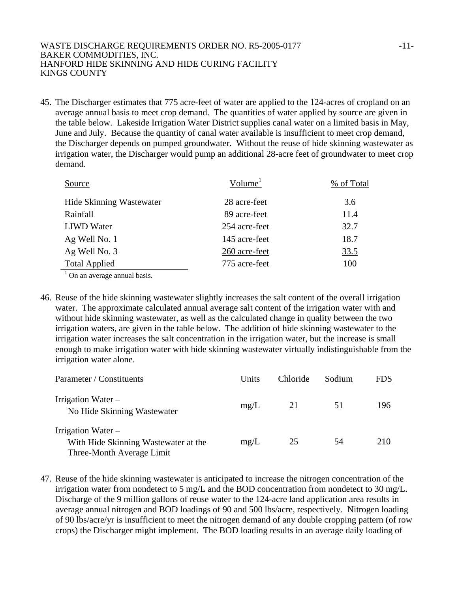### WASTE DISCHARGE REQUIREMENTS ORDER NO. R5-2005-0177 -11-BAKER COMMODITIES, INC. HANFORD HIDE SKINNING AND HIDE CURING FACILITY KINGS COUNTY

45. The Discharger estimates that 775 acre-feet of water are applied to the 124-acres of cropland on an average annual basis to meet crop demand. The quantities of water applied by source are given in the table below. Lakeside Irrigation Water District supplies canal water on a limited basis in May, June and July. Because the quantity of canal water available is insufficient to meet crop demand, the Discharger depends on pumped groundwater. Without the reuse of hide skinning wastewater as irrigation water, the Discharger would pump an additional 28-acre feet of groundwater to meet crop demand.

| Source                          | Volume <sup>1</sup> | % of Total |  |
|---------------------------------|---------------------|------------|--|
| <b>Hide Skinning Wastewater</b> | 28 acre-feet        | 3.6        |  |
| Rainfall                        | 89 acre-feet        | 11.4       |  |
| <b>LIWD</b> Water               | 254 acre-feet       | 32.7       |  |
| Ag Well No. 1                   | 145 acre-feet       | 18.7       |  |
| Ag Well No. 3                   | 260 acre-feet       | 33.5       |  |
| <b>Total Applied</b>            | 775 acre-feet       | 100        |  |
|                                 |                     |            |  |

 $<sup>1</sup>$  On an average annual basis.</sup>

46. Reuse of the hide skinning wastewater slightly increases the salt content of the overall irrigation water. The approximate calculated annual average salt content of the irrigation water with and without hide skinning wastewater, as well as the calculated change in quality between the two irrigation waters, are given in the table below. The addition of hide skinning wastewater to the irrigation water increases the salt concentration in the irrigation water, but the increase is small enough to make irrigation water with hide skinning wastewater virtually indistinguishable from the irrigation water alone.

| Parameter / Constituents                                                                | Units | Chloride | Sodium | FDS |
|-----------------------------------------------------------------------------------------|-------|----------|--------|-----|
| Irrigation Water $-$<br>No Hide Skinning Wastewater                                     | mg/L  | 21       | 51     | 196 |
| Irrigation Water –<br>With Hide Skinning Wastewater at the<br>Three-Month Average Limit | mg/L  | 25       | 54     | 210 |

47. Reuse of the hide skinning wastewater is anticipated to increase the nitrogen concentration of the irrigation water from nondetect to 5 mg/L and the BOD concentration from nondetect to 30 mg/L. Discharge of the 9 million gallons of reuse water to the 124-acre land application area results in average annual nitrogen and BOD loadings of 90 and 500 lbs/acre, respectively. Nitrogen loading of 90 lbs/acre/yr is insufficient to meet the nitrogen demand of any double cropping pattern (of row crops) the Discharger might implement. The BOD loading results in an average daily loading of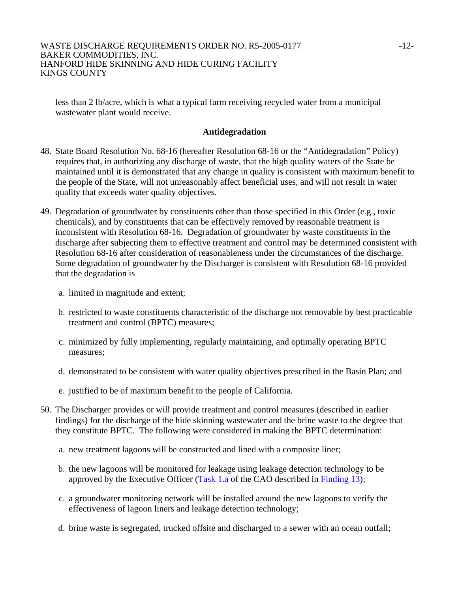less than 2 lb/acre, which is what a typical farm receiving recycled water from a municipal wastewater plant would receive.

# **Antidegradation**

- 48. State Board Resolution No. 68-16 (hereafter Resolution 68-16 or the "Antidegradation" Policy) requires that, in authorizing any discharge of waste, that the high quality waters of the State be maintained until it is demonstrated that any change in quality is consistent with maximum benefit to the people of the State, will not unreasonably affect beneficial uses, and will not result in water quality that exceeds water quality objectives.
- 49. Degradation of groundwater by constituents other than those specified in this Order (e.g., toxic chemicals), and by constituents that can be effectively removed by reasonable treatment is inconsistent with Resolution 68-16. Degradation of groundwater by waste constituents in the discharge after subjecting them to effective treatment and control may be determined consistent with Resolution 68-16 after consideration of reasonableness under the circumstances of the discharge. Some degradation of groundwater by the Discharger is consistent with Resolution 68-16 provided that the degradation is
	- a. limited in magnitude and extent;
	- b. restricted to waste constituents characteristic of the discharge not removable by best practicable treatment and control (BPTC) measures;
	- c. minimized by fully implementing, regularly maintaining, and optimally operating BPTC measures;
	- d. demonstrated to be consistent with water quality objectives prescribed in the Basin Plan; and
	- e. justified to be of maximum benefit to the people of California.
- 50. The Discharger provides or will provide treatment and control measures (described in earlier findings) for the discharge of the hide skinning wastewater and the brine waste to the degree that they constitute BPTC. The following were considered in making the BPTC determination:
	- a. new treatment lagoons will be constructed and lined with a composite liner;
	- b. the new lagoons will be monitored for leakage using leakage detection technology to be approved by the Executive Officer (Task 1.a of the CAO described in Finding 13);
	- c. a groundwater monitoring network will be installed around the new lagoons to verify the effectiveness of lagoon liners and leakage detection technology;
	- d. brine waste is segregated, trucked offsite and discharged to a sewer with an ocean outfall;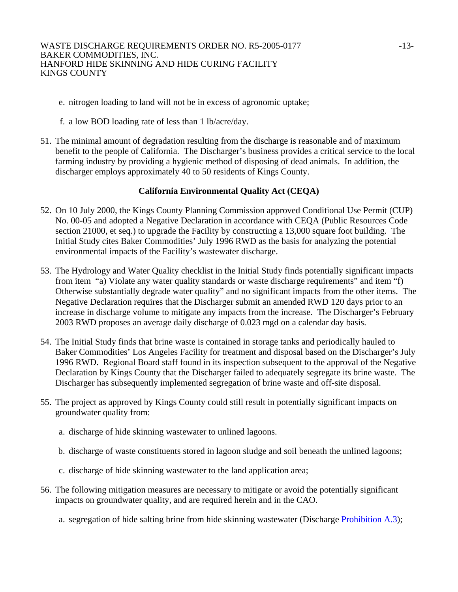- e. nitrogen loading to land will not be in excess of agronomic uptake;
- f. a low BOD loading rate of less than 1 lb/acre/day.
- 51. The minimal amount of degradation resulting from the discharge is reasonable and of maximum benefit to the people of California. The Discharger's business provides a critical service to the local farming industry by providing a hygienic method of disposing of dead animals. In addition, the discharger employs approximately 40 to 50 residents of Kings County.

# **California Environmental Quality Act (CEQA)**

- 52. On 10 July 2000, the Kings County Planning Commission approved Conditional Use Permit (CUP) No. 00-05 and adopted a Negative Declaration in accordance with CEQA (Public Resources Code section 21000, et seq.) to upgrade the Facility by constructing a 13,000 square foot building. The Initial Study cites Baker Commodities' July 1996 RWD as the basis for analyzing the potential environmental impacts of the Facility's wastewater discharge.
- 53. The Hydrology and Water Quality checklist in the Initial Study finds potentially significant impacts from item "a) Violate any water quality standards or waste discharge requirements" and item "f) Otherwise substantially degrade water quality" and no significant impacts from the other items. The Negative Declaration requires that the Discharger submit an amended RWD 120 days prior to an increase in discharge volume to mitigate any impacts from the increase. The Discharger's February 2003 RWD proposes an average daily discharge of 0.023 mgd on a calendar day basis.
- 54. The Initial Study finds that brine waste is contained in storage tanks and periodically hauled to Baker Commodities' Los Angeles Facility for treatment and disposal based on the Discharger's July 1996 RWD. Regional Board staff found in its inspection subsequent to the approval of the Negative Declaration by Kings County that the Discharger failed to adequately segregate its brine waste. The Discharger has subsequently implemented segregation of brine waste and off-site disposal.
- 55. The project as approved by Kings County could still result in potentially significant impacts on groundwater quality from:
	- a. discharge of hide skinning wastewater to unlined lagoons.
	- b. discharge of waste constituents stored in lagoon sludge and soil beneath the unlined lagoons;
	- c. discharge of hide skinning wastewater to the land application area;
- 56. The following mitigation measures are necessary to mitigate or avoid the potentially significant impacts on groundwater quality, and are required herein and in the CAO.
	- a. segregation of hide salting brine from hide skinning wastewater (Discharge Prohibition A.3);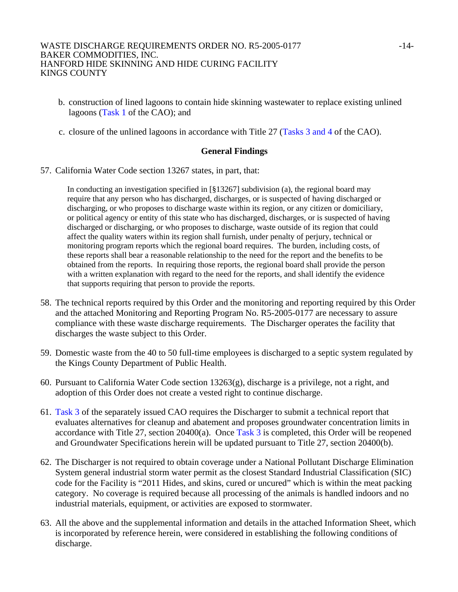- b. construction of lined lagoons to contain hide skinning wastewater to replace existing unlined lagoons (Task 1 of the CAO); and
- c. closure of the unlined lagoons in accordance with Title 27 (Tasks 3 and 4 of the CAO).

# **General Findings**

57. California Water Code section 13267 states, in part, that:

In conducting an investigation specified in  $\lceil \S$  13267] subdivision (a), the regional board may require that any person who has discharged, discharges, or is suspected of having discharged or discharging, or who proposes to discharge waste within its region, or any citizen or domiciliary, or political agency or entity of this state who has discharged, discharges, or is suspected of having discharged or discharging, or who proposes to discharge, waste outside of its region that could affect the quality waters within its region shall furnish, under penalty of perjury, technical or monitoring program reports which the regional board requires. The burden, including costs, of these reports shall bear a reasonable relationship to the need for the report and the benefits to be obtained from the reports. In requiring those reports, the regional board shall provide the person with a written explanation with regard to the need for the reports, and shall identify the evidence that supports requiring that person to provide the reports.

- 58. The technical reports required by this Order and the monitoring and reporting required by this Order and the attached Monitoring and Reporting Program No. R5-2005-0177 are necessary to assure compliance with these waste discharge requirements. The Discharger operates the facility that discharges the waste subject to this Order.
- 59. Domestic waste from the 40 to 50 full-time employees is discharged to a septic system regulated by the Kings County Department of Public Health.
- 60. Pursuant to California Water Code section 13263(g), discharge is a privilege, not a right, and adoption of this Order does not create a vested right to continue discharge.
- 61. Task 3 of the separately issued CAO requires the Discharger to submit a technical report that evaluates alternatives for cleanup and abatement and proposes groundwater concentration limits in accordance with Title 27, section 20400(a). Once Task 3 is completed, this Order will be reopened and Groundwater Specifications herein will be updated pursuant to Title 27, section 20400(b).
- 62. The Discharger is not required to obtain coverage under a National Pollutant Discharge Elimination System general industrial storm water permit as the closest Standard Industrial Classification (SIC) code for the Facility is "2011 Hides, and skins, cured or uncured" which is within the meat packing category. No coverage is required because all processing of the animals is handled indoors and no industrial materials, equipment, or activities are exposed to stormwater.
- 63. All the above and the supplemental information and details in the attached Information Sheet, which is incorporated by reference herein, were considered in establishing the following conditions of discharge.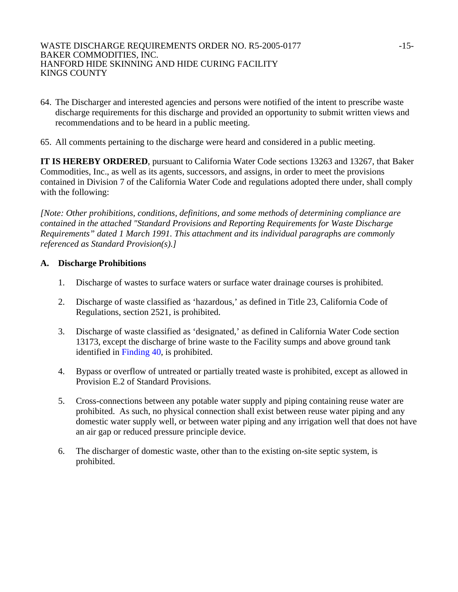- 64. The Discharger and interested agencies and persons were notified of the intent to prescribe waste discharge requirements for this discharge and provided an opportunity to submit written views and recommendations and to be heard in a public meeting.
- 65. All comments pertaining to the discharge were heard and considered in a public meeting.

**IT IS HEREBY ORDERED**, pursuant to California Water Code sections 13263 and 13267, that Baker Commodities, Inc., as well as its agents, successors, and assigns, in order to meet the provisions contained in Division 7 of the California Water Code and regulations adopted there under, shall comply with the following:

*[Note: Other prohibitions, conditions, definitions, and some methods of determining compliance are contained in the attached "Standard Provisions and Reporting Requirements for Waste Discharge Requirements" dated 1 March 1991. This attachment and its individual paragraphs are commonly referenced as Standard Provision(s).]* 

# **A. Discharge Prohibitions**

- 1. Discharge of wastes to surface waters or surface water drainage courses is prohibited.
- 2. Discharge of waste classified as 'hazardous,' as defined in Title 23, California Code of Regulations, section 2521, is prohibited.
- 3. Discharge of waste classified as 'designated,' as defined in California Water Code section 13173, except the discharge of brine waste to the Facility sumps and above ground tank identified in Finding 40, is prohibited.
- 4. Bypass or overflow of untreated or partially treated waste is prohibited, except as allowed in Provision E.2 of Standard Provisions.
- 5. Cross-connections between any potable water supply and piping containing reuse water are prohibited. As such, no physical connection shall exist between reuse water piping and any domestic water supply well, or between water piping and any irrigation well that does not have an air gap or reduced pressure principle device.
- 6. The discharger of domestic waste, other than to the existing on-site septic system, is prohibited.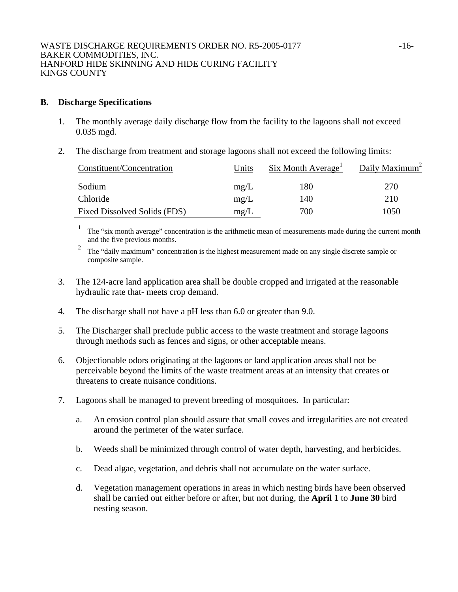## **B. Discharge Specifications**

- 1. The monthly average daily discharge flow from the facility to the lagoons shall not exceed 0.035 mgd.
- 2. The discharge from treatment and storage lagoons shall not exceed the following limits:

| Constituent/Concentration    | Units | $Six$ Month Average <sup>1</sup> | Daily Maximum <sup>2</sup> |
|------------------------------|-------|----------------------------------|----------------------------|
| Sodium                       | mg/L  | 180                              | 270                        |
| Chloride                     | mg/L  | 140                              | 210                        |
| Fixed Dissolved Solids (FDS) | mg/L  | 700                              | 1050                       |

<sup>1</sup> The "six month average" concentration is the arithmetic mean of measurements made during the current month and the five previous months.

<sup>2</sup> The "daily maximum" concentration is the highest measurement made on any single discrete sample or composite sample.

- 3. The 124-acre land application area shall be double cropped and irrigated at the reasonable hydraulic rate that- meets crop demand.
- 4. The discharge shall not have a pH less than 6.0 or greater than 9.0.
- 5. The Discharger shall preclude public access to the waste treatment and storage lagoons through methods such as fences and signs, or other acceptable means.
- 6. Objectionable odors originating at the lagoons or land application areas shall not be perceivable beyond the limits of the waste treatment areas at an intensity that creates or threatens to create nuisance conditions.
- 7. Lagoons shall be managed to prevent breeding of mosquitoes. In particular:
	- a. An erosion control plan should assure that small coves and irregularities are not created around the perimeter of the water surface.
	- b. Weeds shall be minimized through control of water depth, harvesting, and herbicides.
	- c. Dead algae, vegetation, and debris shall not accumulate on the water surface.
	- d. Vegetation management operations in areas in which nesting birds have been observed shall be carried out either before or after, but not during, the **April 1** to **June 30** bird nesting season.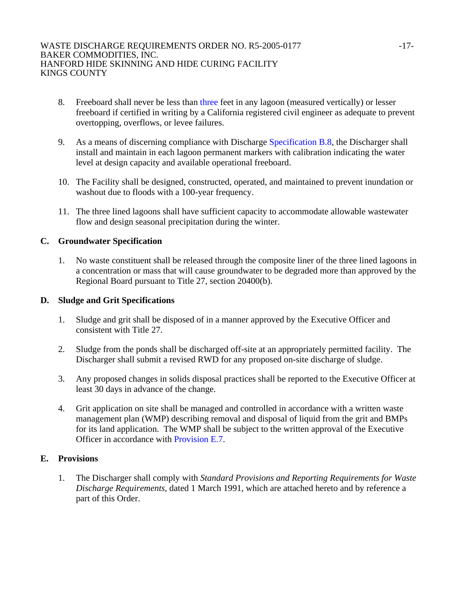- 8. Freeboard shall never be less than three feet in any lagoon (measured vertically) or lesser freeboard if certified in writing by a California registered civil engineer as adequate to prevent overtopping, overflows, or levee failures.
- 9. As a means of discerning compliance with Discharge Specification B.8, the Discharger shall install and maintain in each lagoon permanent markers with calibration indicating the water level at design capacity and available operational freeboard.
- 10. The Facility shall be designed, constructed, operated, and maintained to prevent inundation or washout due to floods with a 100-year frequency.
- 11. The three lined lagoons shall have sufficient capacity to accommodate allowable wastewater flow and design seasonal precipitation during the winter.

# **C. Groundwater Specification**

1. No waste constituent shall be released through the composite liner of the three lined lagoons in a concentration or mass that will cause groundwater to be degraded more than approved by the Regional Board pursuant to Title 27, section 20400(b).

# **D. Sludge and Grit Specifications**

- 1. Sludge and grit shall be disposed of in a manner approved by the Executive Officer and consistent with Title 27.
- 2. Sludge from the ponds shall be discharged off-site at an appropriately permitted facility. The Discharger shall submit a revised RWD for any proposed on-site discharge of sludge.
- 3. Any proposed changes in solids disposal practices shall be reported to the Executive Officer at least 30 days in advance of the change.
- 4. Grit application on site shall be managed and controlled in accordance with a written waste management plan (WMP) describing removal and disposal of liquid from the grit and BMPs for its land application. The WMP shall be subject to the written approval of the Executive Officer in accordance with Provision E.7.

# **E. Provisions**

1. The Discharger shall comply with *Standard Provisions and Reporting Requirements for Waste Discharge Requirements*, dated 1 March 1991, which are attached hereto and by reference a part of this Order.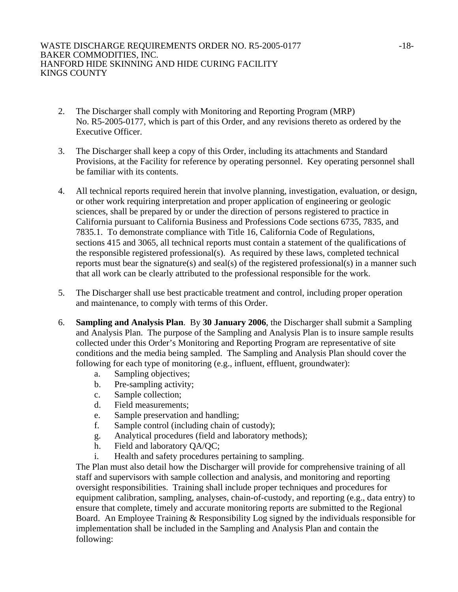- 2. The Discharger shall comply with Monitoring and Reporting Program (MRP) No. R5-2005-0177, which is part of this Order, and any revisions thereto as ordered by the Executive Officer.
- 3. The Discharger shall keep a copy of this Order, including its attachments and Standard Provisions, at the Facility for reference by operating personnel. Key operating personnel shall be familiar with its contents.
- 4. All technical reports required herein that involve planning, investigation, evaluation, or design, or other work requiring interpretation and proper application of engineering or geologic sciences, shall be prepared by or under the direction of persons registered to practice in California pursuant to California Business and Professions Code sections 6735, 7835, and 7835.1. To demonstrate compliance with Title 16, California Code of Regulations, sections 415 and 3065, all technical reports must contain a statement of the qualifications of the responsible registered professional(s). As required by these laws, completed technical reports must bear the signature(s) and seal(s) of the registered professional(s) in a manner such that all work can be clearly attributed to the professional responsible for the work.
- 5. The Discharger shall use best practicable treatment and control, including proper operation and maintenance, to comply with terms of this Order.
- 6. **Sampling and Analysis Plan**. By **30 January 2006**, the Discharger shall submit a Sampling and Analysis Plan. The purpose of the Sampling and Analysis Plan is to insure sample results collected under this Order's Monitoring and Reporting Program are representative of site conditions and the media being sampled. The Sampling and Analysis Plan should cover the following for each type of monitoring (e.g., influent, effluent, groundwater):
	- a. Sampling objectives;
	- b. Pre-sampling activity;
	- c. Sample collection;
	- d. Field measurements;
	- e. Sample preservation and handling;
	- f. Sample control (including chain of custody);
	- g. Analytical procedures (field and laboratory methods);
	- h. Field and laboratory QA/QC;
	- i. Health and safety procedures pertaining to sampling.

The Plan must also detail how the Discharger will provide for comprehensive training of all staff and supervisors with sample collection and analysis, and monitoring and reporting oversight responsibilities. Training shall include proper techniques and procedures for equipment calibration, sampling, analyses, chain-of-custody, and reporting (e.g., data entry) to ensure that complete, timely and accurate monitoring reports are submitted to the Regional Board. An Employee Training & Responsibility Log signed by the individuals responsible for implementation shall be included in the Sampling and Analysis Plan and contain the following: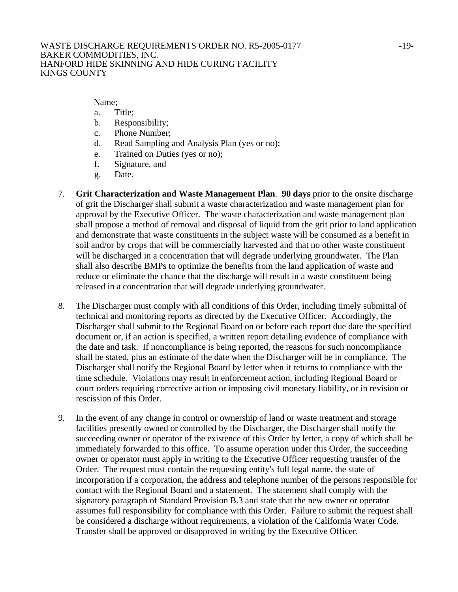Name;

- a. Title;
- b. Responsibility;
- c. Phone Number;
- d. Read Sampling and Analysis Plan (yes or no);
- e. Trained on Duties (yes or no);
- f. Signature, and
- g. Date.
- 7. **Grit Characterization and Waste Management Plan**. **90 days** prior to the onsite discharge of grit the Discharger shall submit a waste characterization and waste management plan for approval by the Executive Officer. The waste characterization and waste management plan shall propose a method of removal and disposal of liquid from the grit prior to land application and demonstrate that waste constituents in the subject waste will be consumed as a benefit in soil and/or by crops that will be commercially harvested and that no other waste constituent will be discharged in a concentration that will degrade underlying groundwater. The Plan shall also describe BMPs to optimize the benefits from the land application of waste and reduce or eliminate the chance that the discharge will result in a waste constituent being released in a concentration that will degrade underlying groundwater.
- 8. The Discharger must comply with all conditions of this Order, including timely submittal of technical and monitoring reports as directed by the Executive Officer. Accordingly, the Discharger shall submit to the Regional Board on or before each report due date the specified document or, if an action is specified, a written report detailing evidence of compliance with the date and task. If noncompliance is being reported, the reasons for such noncompliance shall be stated, plus an estimate of the date when the Discharger will be in compliance. The Discharger shall notify the Regional Board by letter when it returns to compliance with the time schedule. Violations may result in enforcement action, including Regional Board or court orders requiring corrective action or imposing civil monetary liability, or in revision or rescission of this Order.
- 9. In the event of any change in control or ownership of land or waste treatment and storage facilities presently owned or controlled by the Discharger, the Discharger shall notify the succeeding owner or operator of the existence of this Order by letter, a copy of which shall be immediately forwarded to this office. To assume operation under this Order, the succeeding owner or operator must apply in writing to the Executive Officer requesting transfer of the Order. The request must contain the requesting entity's full legal name, the state of incorporation if a corporation, the address and telephone number of the persons responsible for contact with the Regional Board and a statement. The statement shall comply with the signatory paragraph of Standard Provision B.3 and state that the new owner or operator assumes full responsibility for compliance with this Order. Failure to submit the request shall be considered a discharge without requirements, a violation of the California Water Code. Transfer shall be approved or disapproved in writing by the Executive Officer.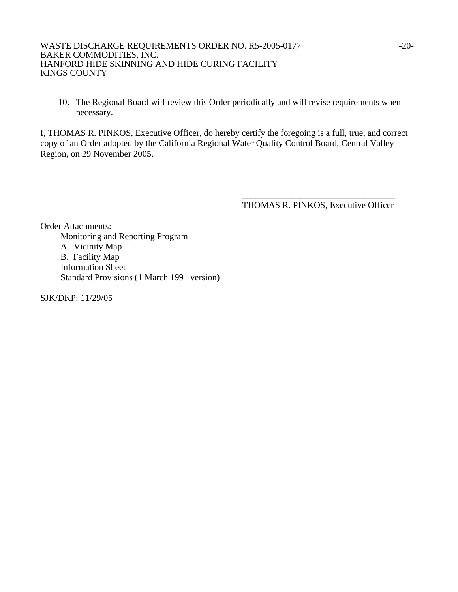### WASTE DISCHARGE REQUIREMENTS ORDER NO. R5-2005-0177 -20-BAKER COMMODITIES, INC. HANFORD HIDE SKINNING AND HIDE CURING FACILITY KINGS COUNTY

10. The Regional Board will review this Order periodically and will revise requirements when necessary.

I, THOMAS R. PINKOS, Executive Officer, do hereby certify the foregoing is a full, true, and correct copy of an Order adopted by the California Regional Water Quality Control Board, Central Valley Region, on 29 November 2005.

 $\overline{\phantom{a}}$  , which is a set of the contract of the contract of the contract of the contract of the contract of the contract of the contract of the contract of the contract of the contract of the contract of the contract

THOMAS R. PINKOS, Executive Officer

Order Attachments: Monitoring and Reporting Program A. Vicinity Map B. Facility Map Information Sheet Standard Provisions (1 March 1991 version)

SJK/DKP: 11/29/05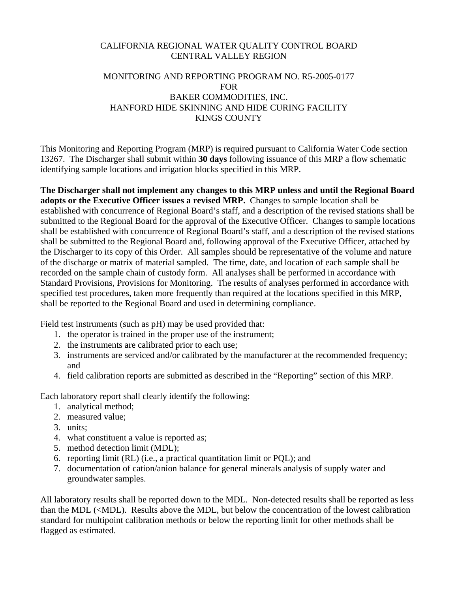# CALIFORNIA REGIONAL WATER QUALITY CONTROL BOARD CENTRAL VALLEY REGION

# MONITORING AND REPORTING PROGRAM NO. R5-2005-0177 FOR BAKER COMMODITIES, INC. HANFORD HIDE SKINNING AND HIDE CURING FACILITY KINGS COUNTY

This Monitoring and Reporting Program (MRP) is required pursuant to California Water Code section 13267. The Discharger shall submit within **30 days** following issuance of this MRP a flow schematic identifying sample locations and irrigation blocks specified in this MRP.

**The Discharger shall not implement any changes to this MRP unless and until the Regional Board adopts or the Executive Officer issues a revised MRP.** Changes to sample location shall be established with concurrence of Regional Board's staff, and a description of the revised stations shall be submitted to the Regional Board for the approval of the Executive Officer. Changes to sample locations shall be established with concurrence of Regional Board's staff, and a description of the revised stations shall be submitted to the Regional Board and, following approval of the Executive Officer, attached by the Discharger to its copy of this Order. All samples should be representative of the volume and nature of the discharge or matrix of material sampled. The time, date, and location of each sample shall be recorded on the sample chain of custody form. All analyses shall be performed in accordance with Standard Provisions, Provisions for Monitoring. The results of analyses performed in accordance with specified test procedures, taken more frequently than required at the locations specified in this MRP, shall be reported to the Regional Board and used in determining compliance.

Field test instruments (such as pH) may be used provided that:

- 1. the operator is trained in the proper use of the instrument;
- 2. the instruments are calibrated prior to each use;
- 3. instruments are serviced and/or calibrated by the manufacturer at the recommended frequency; and
- 4. field calibration reports are submitted as described in the "Reporting" section of this MRP.

Each laboratory report shall clearly identify the following:

- 1. analytical method;
- 2. measured value;
- 3. units;
- 4. what constituent a value is reported as;
- 5. method detection limit (MDL);
- 6. reporting limit (RL) (i.e., a practical quantitation limit or PQL); and
- 7. documentation of cation/anion balance for general minerals analysis of supply water and groundwater samples.

All laboratory results shall be reported down to the MDL. Non-detected results shall be reported as less than the MDL (<MDL). Results above the MDL, but below the concentration of the lowest calibration standard for multipoint calibration methods or below the reporting limit for other methods shall be flagged as estimated.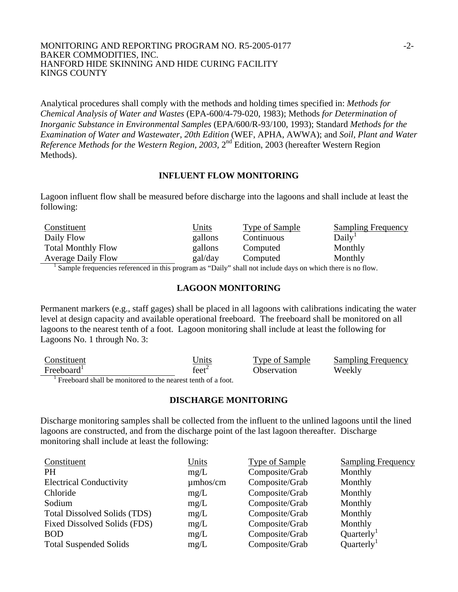#### MONITORING AND REPORTING PROGRAM NO. R5-2005-0177 -2-BAKER COMMODITIES, INC. HANFORD HIDE SKINNING AND HIDE CURING FACILITY KINGS COUNTY

Analytical procedures shall comply with the methods and holding times specified in: *Methods for Chemical Analysis of Water and Wastes* (EPA-600/4-79-020, 1983); Methods *for Determination of Inorganic Substance in Environmental Samples* (EPA/600/R-93/100, 1993); Standard *Methods for the Examination of Water and Wastewater*, *20th Edition* (WEF, APHA, AWWA); and *Soil, Plant and Water Reference Methods for the Western Region, 2003,* 2nd Edition, 2003 (hereafter Western Region Methods).

### **INFLUENT FLOW MONITORING**

Lagoon influent flow shall be measured before discharge into the lagoons and shall include at least the following:

| Constituent                                                                                                | <u>Units</u> | Type of Sample | <b>Sampling Frequency</b> |
|------------------------------------------------------------------------------------------------------------|--------------|----------------|---------------------------|
| Daily Flow                                                                                                 | gallons      | Continuous     | Daily <sup>1</sup>        |
| <b>Total Monthly Flow</b>                                                                                  | gallons      | Computed       | Monthly                   |
| <b>Average Daily Flow</b>                                                                                  | gal/day      | Computed       | Monthly                   |
| Sample frequencies referenced in this program as "Daily" shall not include days on which there is no flow. |              |                |                           |

Sample frequencies referenced in this program as "Daily" shall not include days on which there is no flow.

## **LAGOON MONITORING**

Permanent markers (e.g., staff gages) shall be placed in all lagoons with calibrations indicating the water level at design capacity and available operational freeboard. The freeboard shall be monitored on all lagoons to the nearest tenth of a foot. Lagoon monitoring shall include at least the following for Lagoons No. 1 through No. 3:

| Constituent                                                  | Jnits             | Type of Sample | <b>Sampling Frequency</b> |
|--------------------------------------------------------------|-------------------|----------------|---------------------------|
| Freeboard <sup>1</sup>                                       | feet <sup>2</sup> | Observation    | Weekly                    |
| Freeboard shall be monitored to the nearest tenth of a foot. |                   |                |                           |

### **DISCHARGE MONITORING**

Discharge monitoring samples shall be collected from the influent to the unlined lagoons until the lined lagoons are constructed, and from the discharge point of the last lagoon thereafter. Discharge monitoring shall include at least the following:

| Constituent                         | Units         | <b>Type of Sample</b> | <b>Sampling Frequency</b> |
|-------------------------------------|---------------|-----------------------|---------------------------|
| <b>PH</b>                           | mg/L          | Composite/Grab        | Monthly                   |
| <b>Electrical Conductivity</b>      | $\mu$ mhos/cm | Composite/Grab        | Monthly                   |
| Chloride                            | mg/L          | Composite/Grab        | Monthly                   |
| Sodium                              | mg/L          | Composite/Grab        | Monthly                   |
| <b>Total Dissolved Solids (TDS)</b> | mg/L          | Composite/Grab        | Monthly                   |
| Fixed Dissolved Solids (FDS)        | mg/L          | Composite/Grab        | Monthly                   |
| <b>BOD</b>                          | mg/L          | Composite/Grab        | Quarterly <sup>1</sup>    |
| <b>Total Suspended Solids</b>       | mg/L          | Composite/Grab        | Quarterly <sup>1</sup>    |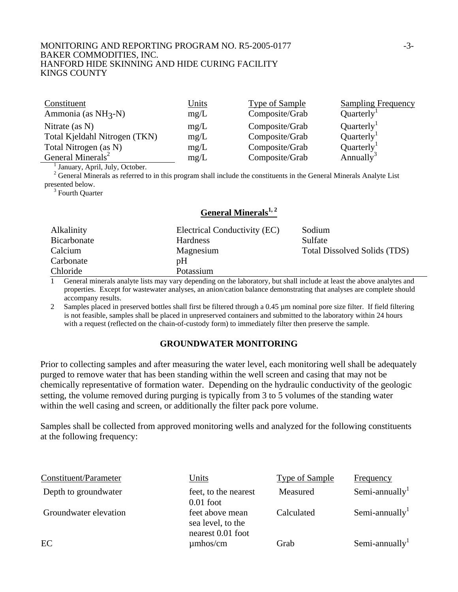#### MONITORING AND REPORTING PROGRAM NO. R5-2005-0177 -3-BAKER COMMODITIES, INC. HANFORD HIDE SKINNING AND HIDE CURING FACILITY KINGS COUNTY

| Constituent                     | <u>Units</u> | <b>Type of Sample</b> | <b>Sampling Frequency</b> |
|---------------------------------|--------------|-----------------------|---------------------------|
| Ammonia (as NH <sub>3</sub> -N) | mg/L         | Composite/Grab        | Quarterly <sup>1</sup>    |
| Nitrate (as $N$ )               | mg/L         | Composite/Grab        | Quarterly <sup>1</sup>    |
| Total Kjeldahl Nitrogen (TKN)   | mg/L         | Composite/Grab        | Quarterly <sup>1</sup>    |
| Total Nitrogen (as N)           | mg/L         | Composite/Grab        | Quarterly <sup>1</sup>    |
| General Minerals <sup>2</sup>   | mg/L         | Composite/Grab        | Annually <sup>3</sup>     |

<sup>1</sup> January, April, July, October.

<sup>2</sup> General Minerals as referred to in this program shall include the constituents in the General Minerals Analyte List presented below.

<sup>3</sup> Fourth Quarter

# General Minerals<sup>1, 2</sup>

| <b>Alkalinity</b> | Electrical Conductivity (EC) | Sodium                              |
|-------------------|------------------------------|-------------------------------------|
| Bicarbonate       | <b>Hardness</b>              | Sulfate                             |
| Calcium           | Magnesium                    | <b>Total Dissolved Solids (TDS)</b> |
| Carbonate         | pH                           |                                     |
| Chloride          | Potassium                    |                                     |

1 General minerals analyte lists may vary depending on the laboratory, but shall include at least the above analytes and properties. Except for wastewater analyses, an anion/cation balance demonstrating that analyses are complete should accompany results.

2 Samples placed in preserved bottles shall first be filtered through a 0.45 µm nominal pore size filter. If field filtering is not feasible, samples shall be placed in unpreserved containers and submitted to the laboratory within 24 hours with a request (reflected on the chain-of-custody form) to immediately filter then preserve the sample.

### **GROUNDWATER MONITORING**

Prior to collecting samples and after measuring the water level, each monitoring well shall be adequately purged to remove water that has been standing within the well screen and casing that may not be chemically representative of formation water. Depending on the hydraulic conductivity of the geologic setting, the volume removed during purging is typically from 3 to 5 volumes of the standing water within the well casing and screen, or additionally the filter pack pore volume.

Samples shall be collected from approved monitoring wells and analyzed for the following constituents at the following frequency:

| Constituent/Parameter | Units                                                     | Type of Sample | Frequency     |
|-----------------------|-----------------------------------------------------------|----------------|---------------|
| Depth to groundwater  | feet, to the nearest<br>$0.01$ foot                       | Measured       | Semi-annually |
| Groundwater elevation | feet above mean<br>sea level, to the<br>nearest 0.01 foot | Calculated     | Semi-annually |
| EC                    | $\mu$ mhos/cm                                             | Grab           | Semi-annually |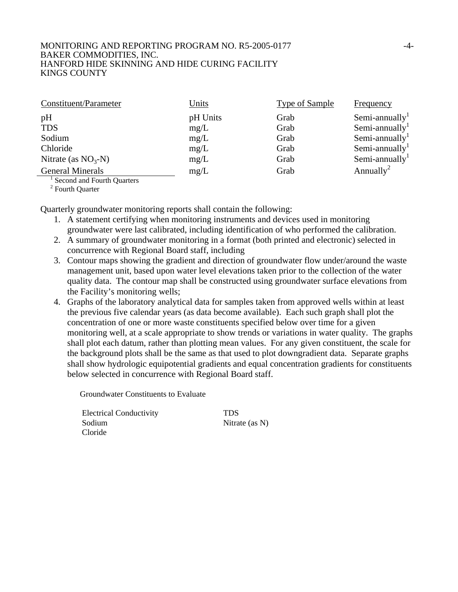#### MONITORING AND REPORTING PROGRAM NO. R5-2005-0177  $-4$ -BAKER COMMODITIES, INC. HANFORD HIDE SKINNING AND HIDE CURING FACILITY KINGS COUNTY

| Constituent/Parameter      | <b>Units</b> | Type of Sample | Frequency                  |
|----------------------------|--------------|----------------|----------------------------|
| pH                         | pH Units     | Grab           | Semi-annually <sup>1</sup> |
| <b>TDS</b>                 | mg/L         | Grab           | Semi-annually <sup>1</sup> |
| Sodium                     | mg/L         | Grab           | Semi-annually <sup>1</sup> |
| Chloride                   | mg/L         | Grab           | Semi-annually <sup>1</sup> |
| Nitrate (as $NO3-N$ )      | mg/L         | Grab           | Semi-annually              |
| <b>General Minerals</b>    | mg/L         | Grab           | Annually <sup>2</sup>      |
| Second and Fourth Quarters |              |                |                            |

Second and Fourth Quarters

<sup>2</sup> Fourth Quarter

Quarterly groundwater monitoring reports shall contain the following:

- 1. A statement certifying when monitoring instruments and devices used in monitoring groundwater were last calibrated, including identification of who performed the calibration.
- 2. A summary of groundwater monitoring in a format (both printed and electronic) selected in concurrence with Regional Board staff, including
- 3. Contour maps showing the gradient and direction of groundwater flow under/around the waste management unit, based upon water level elevations taken prior to the collection of the water quality data. The contour map shall be constructed using groundwater surface elevations from the Facility's monitoring wells;
- 4. Graphs of the laboratory analytical data for samples taken from approved wells within at least the previous five calendar years (as data become available). Each such graph shall plot the concentration of one or more waste constituents specified below over time for a given monitoring well, at a scale appropriate to show trends or variations in water quality. The graphs shall plot each datum, rather than plotting mean values. For any given constituent, the scale for the background plots shall be the same as that used to plot downgradient data. Separate graphs shall show hydrologic equipotential gradients and equal concentration gradients for constituents below selected in concurrence with Regional Board staff.

Groundwater Constituents to Evaluate

 Electrical Conductivity TDS Sodium Nitrate (as N) Cloride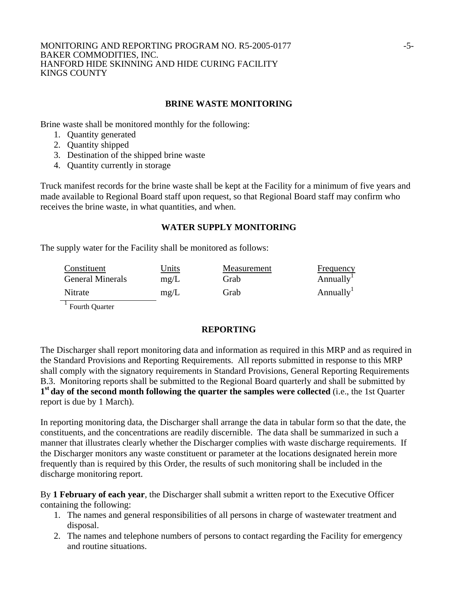#### MONITORING AND REPORTING PROGRAM NO. R5-2005-0177 - 5-BAKER COMMODITIES, INC. HANFORD HIDE SKINNING AND HIDE CURING FACILITY KINGS COUNTY

## **BRINE WASTE MONITORING**

Brine waste shall be monitored monthly for the following:

- 1. Quantity generated
- 2. Quantity shipped
- 3. Destination of the shipped brine waste
- 4. Quantity currently in storage

Truck manifest records for the brine waste shall be kept at the Facility for a minimum of five years and made available to Regional Board staff upon request, so that Regional Board staff may confirm who receives the brine waste, in what quantities, and when.

### **WATER SUPPLY MONITORING**

The supply water for the Facility shall be monitored as follows:

| Constituent             | Units | Measurement | <b>Frequency</b>      |
|-------------------------|-------|-------------|-----------------------|
| <b>General Minerals</b> | mg/L  | Grab        | Annually <sup>1</sup> |
| Nitrate                 | mg/L  | Grab        | Annually <sup>1</sup> |

 $\frac{1}{1}$  Fourth Quarter

### **REPORTING**

The Discharger shall report monitoring data and information as required in this MRP and as required in the Standard Provisions and Reporting Requirements. All reports submitted in response to this MRP shall comply with the signatory requirements in Standard Provisions, General Reporting Requirements B.3. Monitoring reports shall be submitted to the Regional Board quarterly and shall be submitted by **1st day of the second month following the quarter the samples were collected** (i.e., the 1st Quarter report is due by 1 March).

In reporting monitoring data, the Discharger shall arrange the data in tabular form so that the date, the constituents, and the concentrations are readily discernible. The data shall be summarized in such a manner that illustrates clearly whether the Discharger complies with waste discharge requirements. If the Discharger monitors any waste constituent or parameter at the locations designated herein more frequently than is required by this Order, the results of such monitoring shall be included in the discharge monitoring report.

By **1 February of each year**, the Discharger shall submit a written report to the Executive Officer containing the following:

- 1. The names and general responsibilities of all persons in charge of wastewater treatment and disposal.
- 2. The names and telephone numbers of persons to contact regarding the Facility for emergency and routine situations.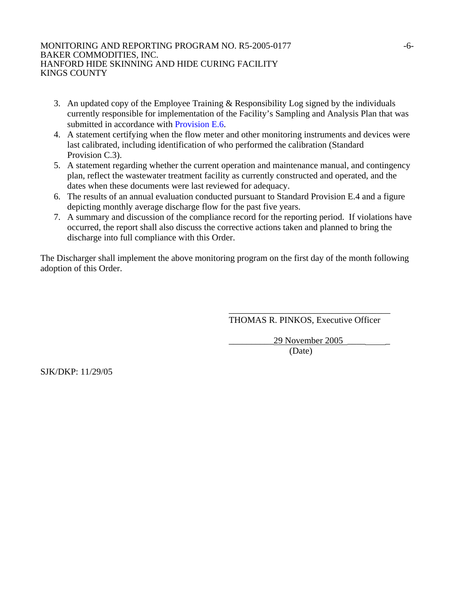#### MONITORING AND REPORTING PROGRAM NO. R5-2005-0177 -6-BAKER COMMODITIES, INC. HANFORD HIDE SKINNING AND HIDE CURING FACILITY KINGS COUNTY

- 3. An updated copy of the Employee Training & Responsibility Log signed by the individuals currently responsible for implementation of the Facility's Sampling and Analysis Plan that was submitted in accordance with Provision E.6.
- 4. A statement certifying when the flow meter and other monitoring instruments and devices were last calibrated, including identification of who performed the calibration (Standard Provision C.3).
- 5. A statement regarding whether the current operation and maintenance manual, and contingency plan, reflect the wastewater treatment facility as currently constructed and operated, and the dates when these documents were last reviewed for adequacy.
- 6. The results of an annual evaluation conducted pursuant to Standard Provision E.4 and a figure depicting monthly average discharge flow for the past five years.
- 7. A summary and discussion of the compliance record for the reporting period. If violations have occurred, the report shall also discuss the corrective actions taken and planned to bring the discharge into full compliance with this Order.

The Discharger shall implement the above monitoring program on the first day of the month following adoption of this Order.

 $\overline{\phantom{a}}$  , which is a set of the set of the set of the set of the set of the set of the set of the set of the set of the set of the set of the set of the set of the set of the set of the set of the set of the set of th

THOMAS R. PINKOS, Executive Officer

29 November 2005 (Date)

SJK/DKP: 11/29/05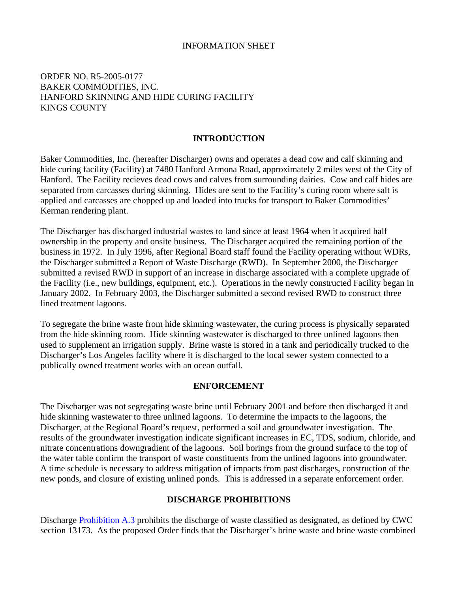## INFORMATION SHEET

# ORDER NO. R5-2005-0177 BAKER COMMODITIES, INC. HANFORD SKINNING AND HIDE CURING FACILITY KINGS COUNTY

### **INTRODUCTION**

Baker Commodities, Inc. (hereafter Discharger) owns and operates a dead cow and calf skinning and hide curing facility (Facility) at 7480 Hanford Armona Road, approximately 2 miles west of the City of Hanford. The Facility recieves dead cows and calves from surrounding dairies. Cow and calf hides are separated from carcasses during skinning. Hides are sent to the Facility's curing room where salt is applied and carcasses are chopped up and loaded into trucks for transport to Baker Commodities' Kerman rendering plant.

The Discharger has discharged industrial wastes to land since at least 1964 when it acquired half ownership in the property and onsite business. The Discharger acquired the remaining portion of the business in 1972. In July 1996, after Regional Board staff found the Facility operating without WDRs, the Discharger submitted a Report of Waste Discharge (RWD). In September 2000, the Discharger submitted a revised RWD in support of an increase in discharge associated with a complete upgrade of the Facility (i.e., new buildings, equipment, etc.). Operations in the newly constructed Facility began in January 2002. In February 2003, the Discharger submitted a second revised RWD to construct three lined treatment lagoons.

To segregate the brine waste from hide skinning wastewater, the curing process is physically separated from the hide skinning room. Hide skinning wastewater is discharged to three unlined lagoons then used to supplement an irrigation supply. Brine waste is stored in a tank and periodically trucked to the Discharger's Los Angeles facility where it is discharged to the local sewer system connected to a publically owned treatment works with an ocean outfall.

#### **ENFORCEMENT**

The Discharger was not segregating waste brine until February 2001 and before then discharged it and hide skinning wastewater to three unlined lagoons. To determine the impacts to the lagoons, the Discharger, at the Regional Board's request, performed a soil and groundwater investigation. The results of the groundwater investigation indicate significant increases in EC, TDS, sodium, chloride, and nitrate concentrations downgradient of the lagoons. Soil borings from the ground surface to the top of the water table confirm the transport of waste constituents from the unlined lagoons into groundwater. A time schedule is necessary to address mitigation of impacts from past discharges, construction of the new ponds, and closure of existing unlined ponds. This is addressed in a separate enforcement order.

## **DISCHARGE PROHIBITIONS**

Discharge Prohibition A.3 prohibits the discharge of waste classified as designated, as defined by CWC section 13173. As the proposed Order finds that the Discharger's brine waste and brine waste combined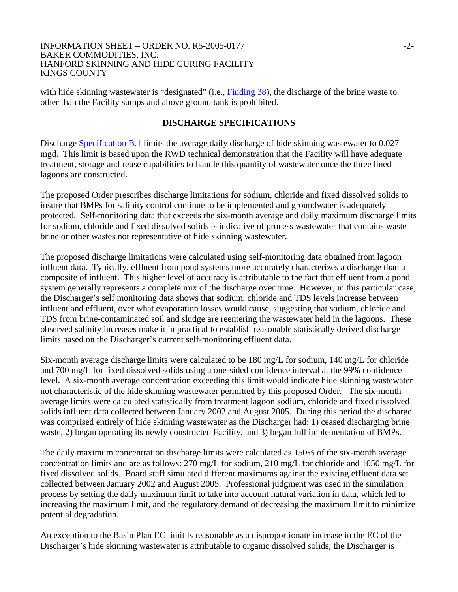#### INFORMATION SHEET – ORDER NO. R5-2005-0177  $-2$ -BAKER COMMODITIES, INC. HANFORD SKINNING AND HIDE CURING FACILITY KINGS COUNTY

with hide skinning wastewater is "designated" (i.e., Finding 38), the discharge of the brine waste to other than the Facility sumps and above ground tank is prohibited.

### **DISCHARGE SPECIFICATIONS**

Discharge Specification B.1 limits the average daily discharge of hide skinning wastewater to 0.027 mgd. This limit is based upon the RWD technical demonstration that the Facility will have adequate treatment, storage and reuse capabilities to handle this quantity of wastewater once the three lined lagoons are constructed.

The proposed Order prescribes discharge limitations for sodium, chloride and fixed dissolved solids to insure that BMPs for salinity control continue to be implemented and groundwater is adequately protected. Self-monitoring data that exceeds the six-month average and daily maximum discharge limits for sodium, chloride and fixed dissolved solids is indicative of process wastewater that contains waste brine or other wastes not representative of hide skinning wastewater.

The proposed discharge limitations were calculated using self-monitoring data obtained from lagoon influent data. Typically, effluent from pond systems more accurately characterizes a discharge than a composite of influent. This higher level of accuracy is attributable to the fact that effluent from a pond system generally represents a complete mix of the discharge over time. However, in this particular case, the Discharger's self monitoring data shows that sodium, chloride and TDS levels increase between influent and effluent, over what evaporation losses would cause, suggesting that sodium, chloride and TDS from brine-contaminated soil and sludge are reentering the wastewater held in the lagoons. These observed salinity increases make it impractical to establish reasonable statistically derived discharge limits based on the Discharger's current self-monitoring effluent data.

Six-month average discharge limits were calculated to be 180 mg/L for sodium, 140 mg/L for chloride and 700 mg/L for fixed dissolved solids using a one-sided confidence interval at the 99% confidence level. A six-month average concentration exceeding this limit would indicate hide skinning wastewater not characteristic of the hide skinning wastewater permitted by this proposed Order. The six-month average limits were calculated statistically from treatment lagoon sodium, chloride and fixed dissolved solids influent data collected between January 2002 and August 2005. During this period the discharge was comprised entirely of hide skinning wastewater as the Discharger had: 1) ceased discharging brine waste, 2) began operating its newly constructed Facility, and 3) began full implementation of BMPs.

The daily maximum concentration discharge limits were calculated as 150% of the six-month average concentration limits and are as follows: 270 mg/L for sodium, 210 mg/L for chloride and 1050 mg/L for fixed dissolved solids. Board staff simulated different maximums against the existing effluent data set collected between January 2002 and August 2005. Professional judgment was used in the simulation process by setting the daily maximum limit to take into account natural variation in data, which led to increasing the maximum limit, and the regulatory demand of decreasing the maximum limit to minimize potential degradation.

An exception to the Basin Plan EC limit is reasonable as a disproportionate increase in the EC of the Discharger's hide skinning wastewater is attributable to organic dissolved solids; the Discharger is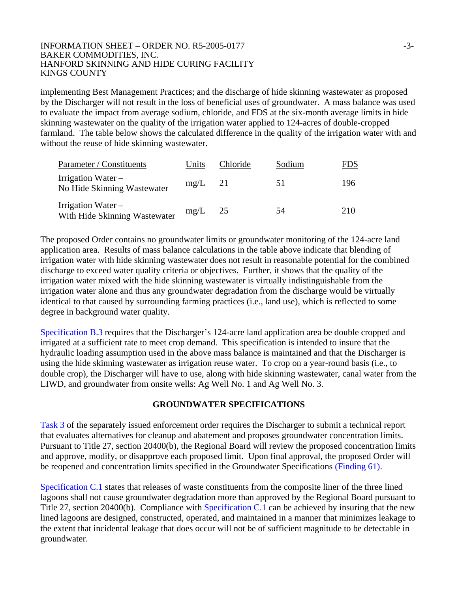#### INFORMATION SHEET – ORDER NO. R5-2005-0177  $-3$ -3-BAKER COMMODITIES, INC. HANFORD SKINNING AND HIDE CURING FACILITY KINGS COUNTY

implementing Best Management Practices; and the discharge of hide skinning wastewater as proposed by the Discharger will not result in the loss of beneficial uses of groundwater. A mass balance was used to evaluate the impact from average sodium, chloride, and FDS at the six-month average limits in hide skinning wastewater on the quality of the irrigation water applied to 124-acres of double-cropped farmland. The table below shows the calculated difference in the quality of the irrigation water with and without the reuse of hide skinning wastewater.

| Parameter / Constituents                              | Units     | Chloride | Sodium | FDS |
|-------------------------------------------------------|-----------|----------|--------|-----|
| Irrigation Water $-$<br>No Hide Skinning Wastewater   | $mg/L$ 21 |          | 51     | 196 |
| Irrigation Water $-$<br>With Hide Skinning Wastewater | mg/L      | 25       | 54     | 210 |

The proposed Order contains no groundwater limits or groundwater monitoring of the 124-acre land application area. Results of mass balance calculations in the table above indicate that blending of irrigation water with hide skinning wastewater does not result in reasonable potential for the combined discharge to exceed water quality criteria or objectives. Further, it shows that the quality of the irrigation water mixed with the hide skinning wastewater is virtually indistinguishable from the irrigation water alone and thus any groundwater degradation from the discharge would be virtually identical to that caused by surrounding farming practices (i.e., land use), which is reflected to some degree in background water quality.

Specification B.3 requires that the Discharger's 124-acre land application area be double cropped and irrigated at a sufficient rate to meet crop demand. This specification is intended to insure that the hydraulic loading assumption used in the above mass balance is maintained and that the Discharger is using the hide skinning wastewater as irrigation reuse water. To crop on a year-round basis (i.e., to double crop), the Discharger will have to use, along with hide skinning wastewater, canal water from the LIWD, and groundwater from onsite wells: Ag Well No. 1 and Ag Well No. 3.

# **GROUNDWATER SPECIFICATIONS**

Task 3 of the separately issued enforcement order requires the Discharger to submit a technical report that evaluates alternatives for cleanup and abatement and proposes groundwater concentration limits. Pursuant to Title 27, section 20400(b), the Regional Board will review the proposed concentration limits and approve, modify, or disapprove each proposed limit. Upon final approval, the proposed Order will be reopened and concentration limits specified in the Groundwater Specifications (Finding 61).

Specification C.1 states that releases of waste constituents from the composite liner of the three lined lagoons shall not cause groundwater degradation more than approved by the Regional Board pursuant to Title 27, section 20400(b). Compliance with Specification C.1 can be achieved by insuring that the new lined lagoons are designed, constructed, operated, and maintained in a manner that minimizes leakage to the extent that incidental leakage that does occur will not be of sufficient magnitude to be detectable in groundwater.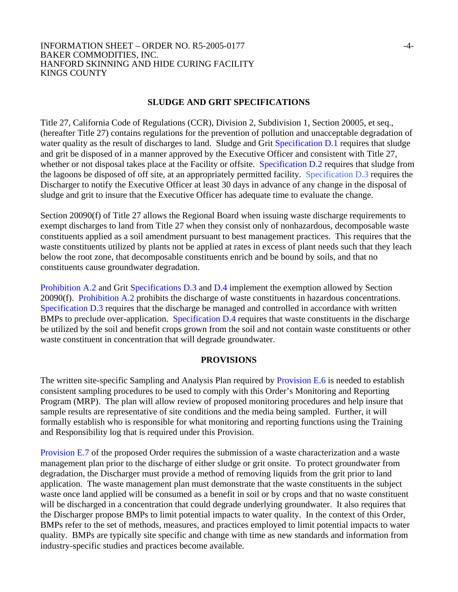#### INFORMATION SHEET – ORDER NO. R5-2005-0177  $-4$ -BAKER COMMODITIES, INC. HANFORD SKINNING AND HIDE CURING FACILITY KINGS COUNTY

## **SLUDGE AND GRIT SPECIFICATIONS**

Title 27, California Code of Regulations (CCR), Division 2, Subdivision 1, Section 20005, et seq., (hereafter Title 27) contains regulations for the prevention of pollution and unacceptable degradation of water quality as the result of discharges to land. Sludge and Grit Specification D.1 requires that sludge and grit be disposed of in a manner approved by the Executive Officer and consistent with Title 27, whether or not disposal takes place at the Facility or offsite. Specification D.2 requires that sludge from the lagoons be disposed of off site, at an appropriately permitted facility. Specification D.3 requires the Discharger to notify the Executive Officer at least 30 days in advance of any change in the disposal of sludge and grit to insure that the Executive Officer has adequate time to evaluate the change.

Section 20090(f) of Title 27 allows the Regional Board when issuing waste discharge requirements to exempt discharges to land from Title 27 when they consist only of nonhazardous, decomposable waste constituents applied as a soil amendment pursuant to best management practices. This requires that the waste constituents utilized by plants not be applied at rates in excess of plant needs such that they leach below the root zone, that decomposable constituents enrich and be bound by soils, and that no constituents cause groundwater degradation.

Prohibition A.2 and Grit Specifications D.3 and D.4 implement the exemption allowed by Section 20090(f). Prohibition A.2 prohibits the discharge of waste constituents in hazardous concentrations. Specification D.3 requires that the discharge be managed and controlled in accordance with written BMPs to preclude over-application. Specification D.4 requires that waste constituents in the discharge be utilized by the soil and benefit crops grown from the soil and not contain waste constituents or other waste constituent in concentration that will degrade groundwater.

### **PROVISIONS**

The written site-specific Sampling and Analysis Plan required by Provision E.6 is needed to establish consistent sampling procedures to be used to comply with this Order's Monitoring and Reporting Program (MRP). The plan will allow review of proposed monitoring procedures and help insure that sample results are representative of site conditions and the media being sampled. Further, it will formally establish who is responsible for what monitoring and reporting functions using the Training and Responsibility log that is required under this Provision.

Provision E.7 of the proposed Order requires the submission of a waste characterization and a waste management plan prior to the discharge of either sludge or grit onsite. To protect groundwater from degradation, the Discharger must provide a method of removing liquids from the grit prior to land application. The waste management plan must demonstrate that the waste constituents in the subject waste once land applied will be consumed as a benefit in soil or by crops and that no waste constituent will be discharged in a concentration that could degrade underlying groundwater. It also requires that the Discharger propose BMPs to limit potential impacts to water quality. In the context of this Order, BMPs refer to the set of methods, measures, and practices employed to limit potential impacts to water quality. BMPs are typically site specific and change with time as new standards and information from industry-specific studies and practices become available.